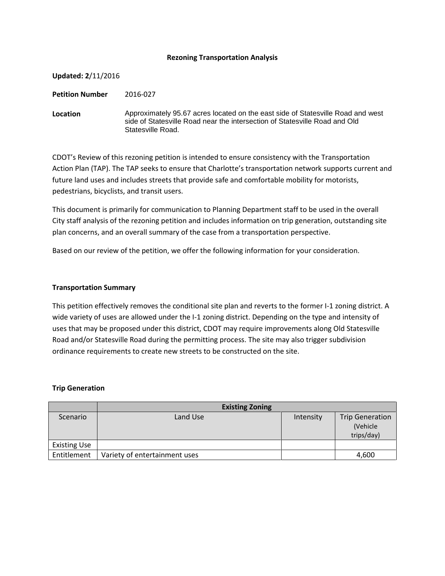### **Rezoning Transportation Analysis**

**Updated: 2**/11/2016

**Petition Number** 2016-027

**Location** Approximately 95.67 acres located on the east side of Statesville Road and west side of Statesville Road near the intersection of Statesville Road and Old Statesville Road.

CDOT's Review of this rezoning petition is intended to ensure consistency with the Transportation Action Plan (TAP). The TAP seeks to ensure that Charlotte's transportation network supports current and future land uses and includes streets that provide safe and comfortable mobility for motorists, pedestrians, bicyclists, and transit users.

This document is primarily for communication to Planning Department staff to be used in the overall City staff analysis of the rezoning petition and includes information on trip generation, outstanding site plan concerns, and an overall summary of the case from a transportation perspective.

Based on our review of the petition, we offer the following information for your consideration.

### **Transportation Summary**

This petition effectively removes the conditional site plan and reverts to the former I-1 zoning district. A wide variety of uses are allowed under the I-1 zoning district. Depending on the type and intensity of uses that may be proposed under this district, CDOT may require improvements along Old Statesville Road and/or Statesville Road during the permitting process. The site may also trigger subdivision ordinance requirements to create new streets to be constructed on the site.

## **Trip Generation**

|                     | <b>Existing Zoning</b>        |           |                                                  |
|---------------------|-------------------------------|-----------|--------------------------------------------------|
| Scenario            | Land Use                      | Intensity | <b>Trip Generation</b><br>(Vehicle<br>trips/day) |
| <b>Existing Use</b> |                               |           |                                                  |
| Entitlement         | Variety of entertainment uses |           | 4,600                                            |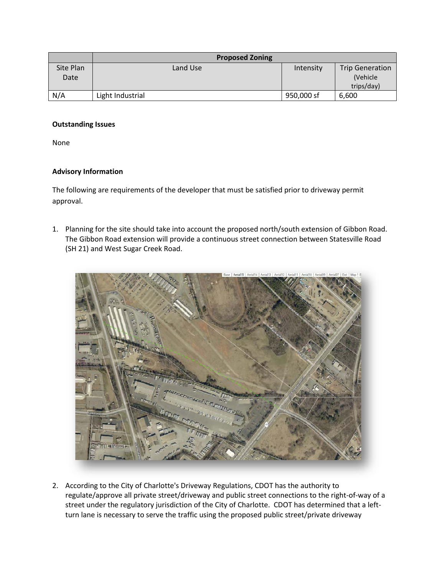|           | <b>Proposed Zoning</b> |            |                         |
|-----------|------------------------|------------|-------------------------|
| Site Plan | Land Use               | Intensity  | <b>Trip Generation</b>  |
| Date      |                        |            | (Vehicle)<br>trips/day) |
|           |                        |            |                         |
| N/A       | Light Industrial       | 950,000 sf | 6,600                   |

## **Outstanding Issues**

None

# **Advisory Information**

The following are requirements of the developer that must be satisfied prior to driveway permit approval.

1. Planning for the site should take into account the proposed north/south extension of Gibbon Road. The Gibbon Road extension will provide a continuous street connection between Statesville Road (SH 21) and West Sugar Creek Road.



2. According to the City of Charlotte's Driveway Regulations, CDOT has the authority to regulate/approve all private street/driveway and public street connections to the right-of-way of a street under the regulatory jurisdiction of the City of Charlotte. CDOT has determined that a leftturn lane is necessary to serve the traffic using the proposed public street/private driveway